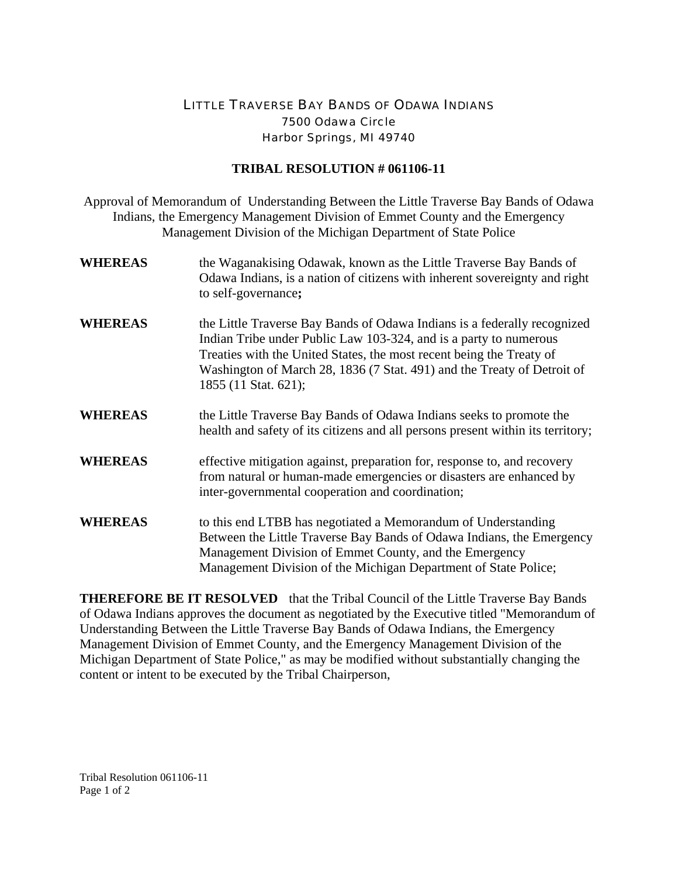## LITTLE TRAVERSE BAY BANDS OF ODAWA INDIANS 7500 Odawa Circle Harbor Springs, MI 49740

## **TRIBAL RESOLUTION # 061106-11**

Approval of Memorandum of Understanding Between the Little Traverse Bay Bands of Odawa Indians, the Emergency Management Division of Emmet County and the Emergency Management Division of the Michigan Department of State Police

- **WHEREAS** the Waganakising Odawak, known as the Little Traverse Bay Bands of Odawa Indians, is a nation of citizens with inherent sovereignty and right to self-governance**;**
- **WHEREAS** the Little Traverse Bay Bands of Odawa Indians is a federally recognized Indian Tribe under Public Law 103-324, and is a party to numerous Treaties with the United States, the most recent being the Treaty of Washington of March 28, 1836 (7 Stat. 491) and the Treaty of Detroit of 1855 (11 Stat. 621);
- **WHEREAS** the Little Traverse Bay Bands of Odawa Indians seeks to promote the health and safety of its citizens and all persons present within its territory;
- **WHEREAS** effective mitigation against, preparation for, response to, and recovery from natural or human-made emergencies or disasters are enhanced by inter-governmental cooperation and coordination;
- **WHEREAS** to this end LTBB has negotiated a Memorandum of Understanding Between the Little Traverse Bay Bands of Odawa Indians, the Emergency Management Division of Emmet County, and the Emergency Management Division of the Michigan Department of State Police;

**THEREFORE BE IT RESOLVED** that the Tribal Council of the Little Traverse Bay Bands of Odawa Indians approves the document as negotiated by the Executive titled "Memorandum of Understanding Between the Little Traverse Bay Bands of Odawa Indians, the Emergency Management Division of Emmet County, and the Emergency Management Division of the Michigan Department of State Police," as may be modified without substantially changing the content or intent to be executed by the Tribal Chairperson,